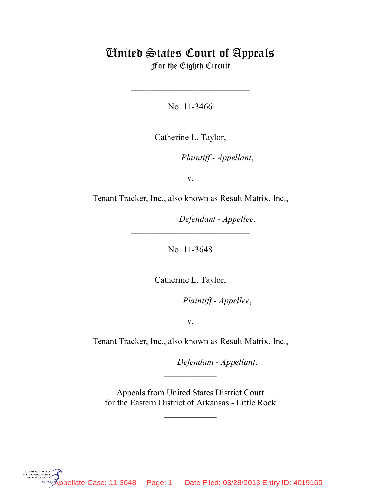## United States Court of Appeals For the Eighth Circuit

No. 11-3466  $\mathcal{L}_\text{max}$  , which is a set of the set of the set of the set of the set of the set of the set of the set of the set of the set of the set of the set of the set of the set of the set of the set of the set of the set of

 $\mathcal{L}_\text{max}$  , which is a set of the set of the set of the set of the set of the set of the set of the set of the set of the set of the set of the set of the set of the set of the set of the set of the set of the set of

Catherine L. Taylor,

*Plaintiff - Appellant*,

v.

Tenant Tracker, Inc., also known as Result Matrix, Inc.,

Defendant - Appellee.

No. 11-3648 \_\_\_\_\_\_\_\_\_\_\_\_\_\_\_\_\_\_\_\_\_\_\_\_\_\_\_

 $\mathcal{L}_\text{max}$  , which is a set of the set of the set of the set of the set of the set of the set of the set of the set of the set of the set of the set of the set of the set of the set of the set of the set of the set of

Catherine L. Taylor,

*Plaintiff - Appellee,* 

v.

Tenant Tracker, Inc., also known as Result Matrix, Inc.,

lllllllllllllllllllll *Defendant - Appellant*.

 Appeals from United States District Court for the Eastern District of Arkansas - Little Rock

 $\frac{1}{2}$ 

 $\frac{1}{2}$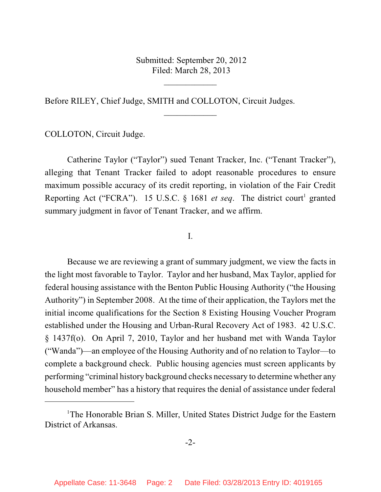Submitted: September 20, 2012 Filed: March 28, 2013

 $\overline{\phantom{a}}$  , where  $\overline{\phantom{a}}$ 

 $\frac{1}{2}$ 

Before RILEY, Chief Judge, SMITH and COLLOTON, Circuit Judges.

COLLOTON, Circuit Judge.

Catherine Taylor ("Taylor") sued Tenant Tracker, Inc. ("Tenant Tracker"), alleging that Tenant Tracker failed to adopt reasonable procedures to ensure maximum possible accuracy of its credit reporting, in violation of the Fair Credit Reporting Act ("FCRA"). 15 U.S.C. § 1681 *et seq*. The district court<sup>1</sup> granted summary judgment in favor of Tenant Tracker, and we affirm.

I.

Because we are reviewing a grant of summary judgment, we view the facts in the light most favorable to Taylor. Taylor and her husband, Max Taylor, applied for federal housing assistance with the Benton Public Housing Authority ("the Housing Authority") in September 2008. At the time of their application, the Taylors met the initial income qualifications for the Section 8 Existing Housing Voucher Program established under the Housing and Urban-Rural Recovery Act of 1983. 42 U.S.C. § 1437f(o). On April 7, 2010, Taylor and her husband met with Wanda Taylor ("Wanda")—an employee of the Housing Authority and of no relation to Taylor—to complete a background check. Public housing agencies must screen applicants by performing "criminal history background checks necessary to determine whether any household member" has a history that requires the denial of assistance under federal

<sup>&</sup>lt;sup>1</sup>The Honorable Brian S. Miller, United States District Judge for the Eastern District of Arkansas.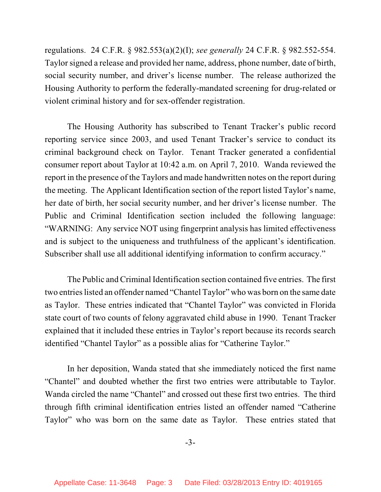regulations. 24 C.F.R. § 982.553(a)(2)(I); *see generally* 24 C.F.R. § 982.552-554. Taylor signed a release and provided her name, address, phone number, date of birth, social security number, and driver's license number. The release authorized the Housing Authority to perform the federally-mandated screening for drug-related or violent criminal history and for sex-offender registration.

The Housing Authority has subscribed to Tenant Tracker's public record reporting service since 2003, and used Tenant Tracker's service to conduct its criminal background check on Taylor. Tenant Tracker generated a confidential consumer report about Taylor at 10:42 a.m. on April 7, 2010. Wanda reviewed the report in the presence of the Taylors and made handwritten notes on the report during the meeting. The Applicant Identification section of the report listed Taylor's name, her date of birth, her social security number, and her driver's license number. The Public and Criminal Identification section included the following language: "WARNING: Any service NOT using fingerprint analysis has limited effectiveness and is subject to the uniqueness and truthfulness of the applicant's identification. Subscriber shall use all additional identifying information to confirm accuracy."

The Public and Criminal Identification section contained five entries. The first two entries listed an offender named "Chantel Taylor" who was born on the same date as Taylor. These entries indicated that "Chantel Taylor" was convicted in Florida state court of two counts of felony aggravated child abuse in 1990. Tenant Tracker explained that it included these entries in Taylor's report because its records search identified "Chantel Taylor" as a possible alias for "Catherine Taylor."

In her deposition, Wanda stated that she immediately noticed the first name "Chantel" and doubted whether the first two entries were attributable to Taylor. Wanda circled the name "Chantel" and crossed out these first two entries. The third through fifth criminal identification entries listed an offender named "Catherine Taylor" who was born on the same date as Taylor. These entries stated that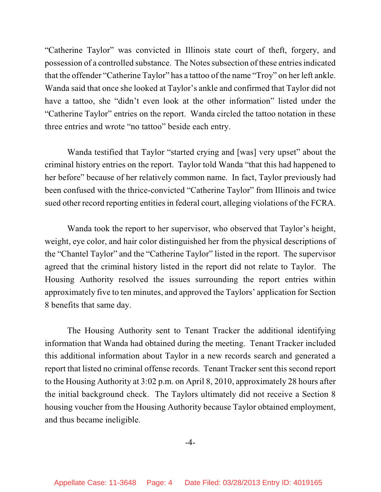"Catherine Taylor" was convicted in Illinois state court of theft, forgery, and possession of a controlled substance. The Notes subsection of these entries indicated that the offender "Catherine Taylor" has a tattoo of the name "Troy" on her left ankle. Wanda said that once she looked at Taylor's ankle and confirmed that Taylor did not have a tattoo, she "didn't even look at the other information" listed under the "Catherine Taylor" entries on the report. Wanda circled the tattoo notation in these three entries and wrote "no tattoo" beside each entry.

Wanda testified that Taylor "started crying and [was] very upset" about the criminal history entries on the report. Taylor told Wanda "that this had happened to her before" because of her relatively common name. In fact, Taylor previously had been confused with the thrice-convicted "Catherine Taylor" from Illinois and twice sued other record reporting entities in federal court, alleging violations of the FCRA.

Wanda took the report to her supervisor, who observed that Taylor's height, weight, eye color, and hair color distinguished her from the physical descriptions of the "Chantel Taylor" and the "Catherine Taylor" listed in the report. The supervisor agreed that the criminal history listed in the report did not relate to Taylor. The Housing Authority resolved the issues surrounding the report entries within approximately five to ten minutes, and approved the Taylors' application for Section 8 benefits that same day.

The Housing Authority sent to Tenant Tracker the additional identifying information that Wanda had obtained during the meeting. Tenant Tracker included this additional information about Taylor in a new records search and generated a report that listed no criminal offense records. Tenant Tracker sent this second report to the Housing Authority at 3:02 p.m. on April 8, 2010, approximately 28 hours after the initial background check. The Taylors ultimately did not receive a Section 8 housing voucher from the Housing Authority because Taylor obtained employment, and thus became ineligible.

-4-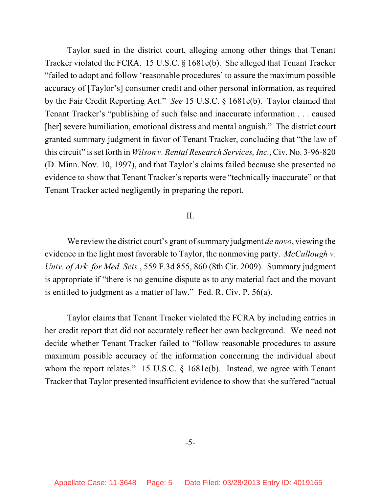Taylor sued in the district court, alleging among other things that Tenant Tracker violated the FCRA. 15 U.S.C. § 1681e(b). She alleged that Tenant Tracker "failed to adopt and follow 'reasonable procedures' to assure the maximum possible accuracy of [Taylor's] consumer credit and other personal information, as required by the Fair Credit Reporting Act." *See* 15 U.S.C. § 1681e(b). Taylor claimed that Tenant Tracker's "publishing of such false and inaccurate information . . . caused [her] severe humiliation, emotional distress and mental anguish." The district court granted summary judgment in favor of Tenant Tracker, concluding that "the law of this circuit" isset forth in *Wilson v. Rental Research Services, Inc.*, Civ. No. 3-96-820 (D. Minn. Nov. 10, 1997), and that Taylor's claims failed because she presented no evidence to show that Tenant Tracker's reports were "technically inaccurate" or that Tenant Tracker acted negligently in preparing the report.

## II.

We review the district court's grant of summary judgment *de novo*, viewing the evidence in the light most favorable to Taylor, the nonmoving party. *McCullough v. Univ. of Ark. for Med. Scis.*, 559 F.3d 855, 860 (8th Cir. 2009). Summary judgment is appropriate if "there is no genuine dispute as to any material fact and the movant is entitled to judgment as a matter of law." Fed. R. Civ. P. 56(a).

Taylor claims that Tenant Tracker violated the FCRA by including entries in her credit report that did not accurately reflect her own background. We need not decide whether Tenant Tracker failed to "follow reasonable procedures to assure maximum possible accuracy of the information concerning the individual about whom the report relates." 15 U.S.C. § 1681e(b). Instead, we agree with Tenant Tracker that Taylor presented insufficient evidence to show that she suffered "actual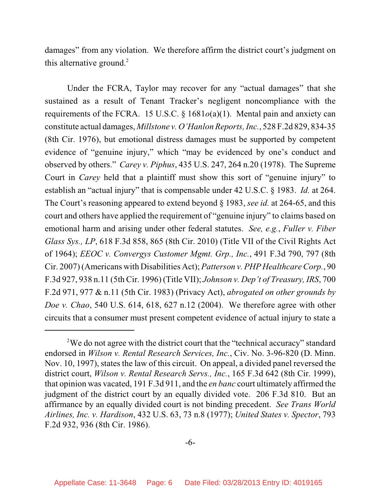damages" from any violation. We therefore affirm the district court's judgment on this alternative ground.<sup>2</sup>

Under the FCRA, Taylor may recover for any "actual damages" that she sustained as a result of Tenant Tracker's negligent noncompliance with the requirements of the FCRA. 15 U.S.C. § 1681*o*(a)(1). Mental pain and anxiety can constitute actual damages, *Millstone v. O'Hanlon Reports, Inc.*, 528 F.2d 829, 834-35 (8th Cir. 1976), but emotional distress damages must be supported by competent evidence of "genuine injury," which "may be evidenced by one's conduct and observed by others." *Carey v. Piphus*, 435 U.S. 247, 264 n.20 (1978). The Supreme Court in *Carey* held that a plaintiff must show this sort of "genuine injury" to establish an "actual injury" that is compensable under 42 U.S.C. § 1983. *Id.* at 264. The Court's reasoning appeared to extend beyond § 1983, *see id.* at 264-65, and this court and others have applied the requirement of "genuine injury" to claims based on emotional harm and arising under other federal statutes. *See, e.g.*, *Fuller v. Fiber Glass Sys., LP*, 618 F.3d 858, 865 (8th Cir. 2010) (Title VII of the Civil Rights Act of 1964); *EEOC v. Convergys Customer Mgmt. Grp., Inc.*, 491 F.3d 790, 797 (8th Cir. 2007) (Americans with Disabilities Act); *Patterson v. PHP Healthcare Corp.*, 90 F.3d 927, 938 n.11 (5th Cir. 1996) (Title VII); *Johnson v. Dep't of Treasury, IRS*, 700 F.2d 971, 977 & n.11 (5th Cir. 1983) (Privacy Act), *abrogated on other grounds by Doe v. Chao*, 540 U.S. 614, 618, 627 n.12 (2004). We therefore agree with other circuits that a consumer must present competent evidence of actual injury to state a

<sup>&</sup>lt;sup>2</sup>We do not agree with the district court that the "technical accuracy" standard endorsed in *Wilson v. Rental Research Services, Inc.*, Civ. No. 3-96-820 (D. Minn. Nov. 10, 1997), states the law of this circuit. On appeal, a divided panel reversed the district court, *Wilson v. Rental Research Servs., Inc.*, 165 F.3d 642 (8th Cir. 1999), that opinion was vacated, 191 F.3d 911, and the *en banc* court ultimately affirmed the judgment of the district court by an equally divided vote. 206 F.3d 810. But an affirmance by an equally divided court is not binding precedent. *See Trans World Airlines, Inc. v. Hardison*, 432 U.S. 63, 73 n.8 (1977); *United States v. Spector*, 793 F.2d 932, 936 (8th Cir. 1986).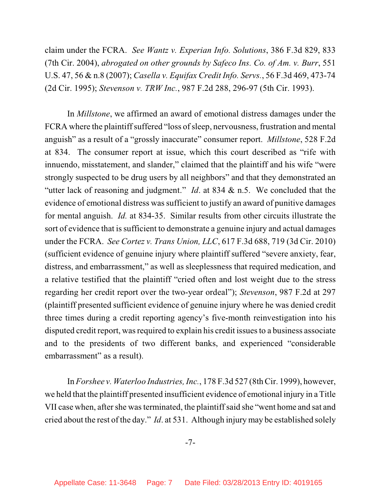claim under the FCRA. *See Wantz v. Experian Info. Solutions*, 386 F.3d 829, 833 (7th Cir. 2004), *abrogated on other grounds by Safeco Ins. Co. of Am. v. Burr*, 551 U.S. 47, 56 & n.8 (2007); *Casella v. Equifax Credit Info. Servs.*, 56 F.3d 469, 473-74 (2d Cir. 1995); *Stevenson v. TRW Inc.*, 987 F.2d 288, 296-97 (5th Cir. 1993).

In *Millstone*, we affirmed an award of emotional distress damages under the FCRA where the plaintiff suffered "loss of sleep, nervousness, frustration and mental anguish" as a result of a "grossly inaccurate" consumer report. *Millstone*, 528 F.2d at 834. The consumer report at issue, which this court described as "rife with innuendo, misstatement, and slander," claimed that the plaintiff and his wife "were strongly suspected to be drug users by all neighbors" and that they demonstrated an "utter lack of reasoning and judgment." *Id*. at 834 & n.5. We concluded that the evidence of emotional distress was sufficient to justify an award of punitive damages for mental anguish. *Id.* at 834-35. Similar results from other circuits illustrate the sort of evidence that is sufficient to demonstrate a genuine injury and actual damages under the FCRA. *See Cortez v. Trans Union, LLC*, 617 F.3d 688, 719 (3d Cir. 2010) (sufficient evidence of genuine injury where plaintiff suffered "severe anxiety, fear, distress, and embarrassment," as well as sleeplessness that required medication, and a relative testified that the plaintiff "cried often and lost weight due to the stress regarding her credit report over the two-year ordeal"); *Stevenson*, 987 F.2d at 297 (plaintiff presented sufficient evidence of genuine injury where he was denied credit three times during a credit reporting agency's five-month reinvestigation into his disputed credit report, was required to explain his credit issues to a business associate and to the presidents of two different banks, and experienced "considerable embarrassment" as a result).

In *Forshee v. Waterloo Industries, Inc.*, 178 F.3d 527 (8thCir. 1999), however, we held that the plaintiff presented insufficient evidence of emotional injury in a Title VII case when, after she wasterminated, the plaintiffsaid she "went home and sat and cried about the rest of the day." *Id*. at 531. Although injury may be established solely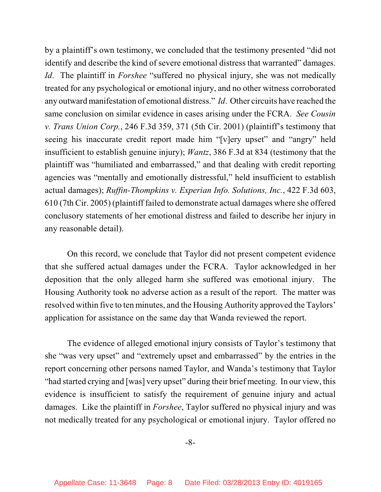by a plaintiff's own testimony, we concluded that the testimony presented "did not identify and describe the kind of severe emotional distress that warranted" damages. *Id*. The plaintiff in *Forshee* "suffered no physical injury, she was not medically treated for any psychological or emotional injury, and no other witness corroborated any outward manifestation of emotional distress." *Id*. Other circuits have reached the same conclusion on similar evidence in cases arising under the FCRA. *See Cousin v. Trans Union Corp.*, 246 F.3d 359, 371 (5th Cir. 2001) (plaintiff's testimony that seeing his inaccurate credit report made him "[v]ery upset" and "angry" held insufficient to establish genuine injury); *Wantz*, 386 F.3d at 834 (testimony that the plaintiff was "humiliated and embarrassed," and that dealing with credit reporting agencies was "mentally and emotionally distressful," held insufficient to establish actual damages); *Ruffin-Thompkins v. Experian Info. Solutions, Inc.*, 422 F.3d 603, 610 (7th Cir. 2005) (plaintiff failed to demonstrate actual damages where she offered conclusory statements of her emotional distress and failed to describe her injury in any reasonable detail).

On this record, we conclude that Taylor did not present competent evidence that she suffered actual damages under the FCRA. Taylor acknowledged in her deposition that the only alleged harm she suffered was emotional injury. The Housing Authority took no adverse action as a result of the report. The matter was resolved within five to ten minutes, and the Housing Authority approved the Taylors' application for assistance on the same day that Wanda reviewed the report.

The evidence of alleged emotional injury consists of Taylor's testimony that she "was very upset" and "extremely upset and embarrassed" by the entries in the report concerning other persons named Taylor, and Wanda's testimony that Taylor "had started crying and [was] very upset" during their brief meeting. In our view, this evidence is insufficient to satisfy the requirement of genuine injury and actual damages. Like the plaintiff in *Forshee*, Taylor suffered no physical injury and was not medically treated for any psychological or emotional injury. Taylor offered no